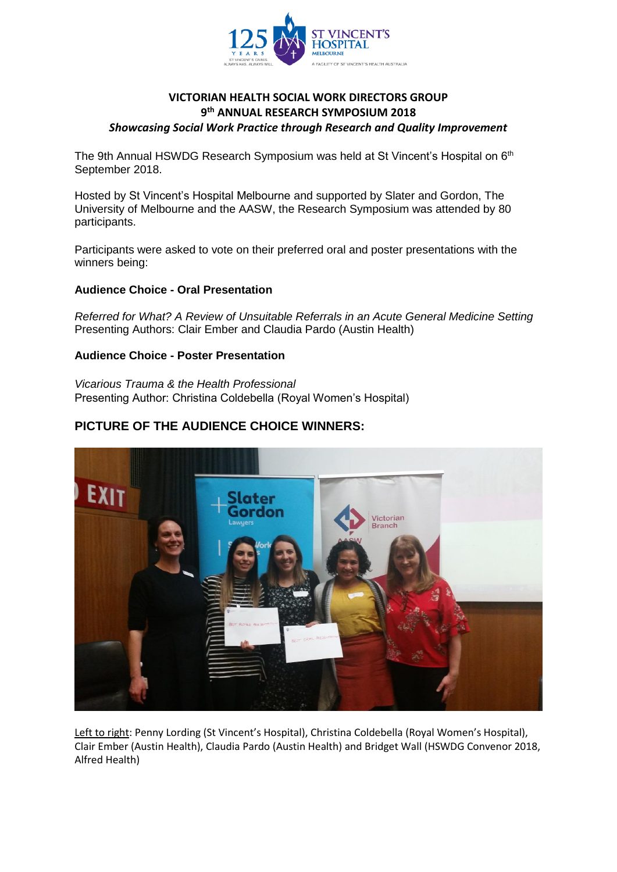

## **VICTORIAN HEALTH SOCIAL WORK DIRECTORS GROUP 9 th ANNUAL RESEARCH SYMPOSIUM 2018** *Showcasing Social Work Practice through Research and Quality Improvement*

The 9th Annual HSWDG Research Symposium was held at St Vincent's Hospital on 6<sup>th</sup> September 2018.

Hosted by St Vincent's Hospital Melbourne and supported by Slater and Gordon, The University of Melbourne and the AASW, the Research Symposium was attended by 80 participants.

Participants were asked to vote on their preferred oral and poster presentations with the winners being:

### **Audience Choice - Oral Presentation**

*Referred for What? A Review of Unsuitable Referrals in an Acute General Medicine Setting* Presenting Authors: Clair Ember and Claudia Pardo (Austin Health)

### **Audience Choice - Poster Presentation**

*Vicarious Trauma & the Health Professional* Presenting Author: Christina Coldebella (Royal Women's Hospital)

## **PICTURE OF THE AUDIENCE CHOICE WINNERS:**



Left to right: Penny Lording (St Vincent's Hospital), Christina Coldebella (Royal Women's Hospital), Clair Ember (Austin Health), Claudia Pardo (Austin Health) and Bridget Wall (HSWDG Convenor 2018, Alfred Health)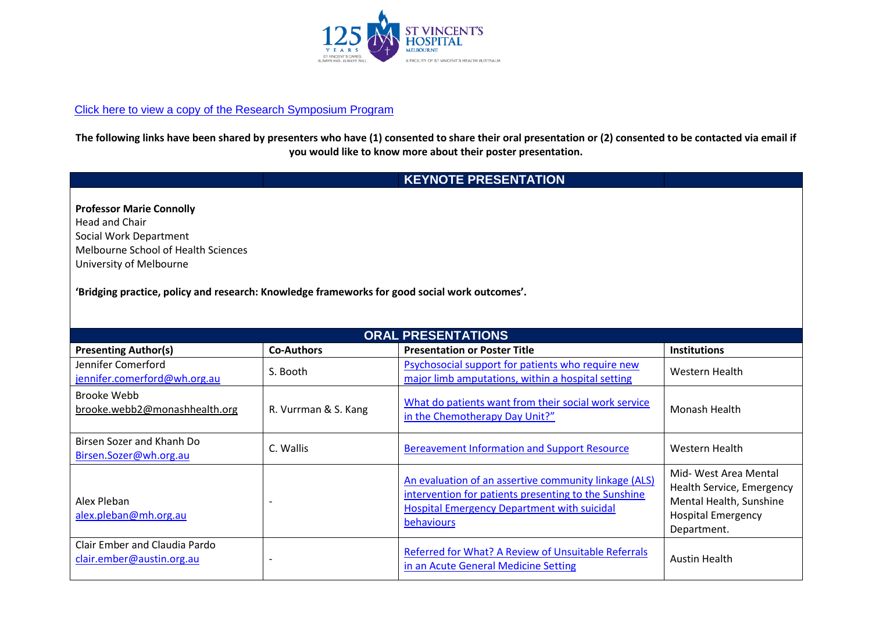

### [Click here to view a copy of the Research Symposium Program](https://www.aasw.asn.au/document/item/9115)

**The following links have been shared by presenters who have (1) consented to share their oral presentation or (2) consented to be contacted via email if you would like to know more about their poster presentation.**

# **KEYNOTE PRESENTATION**

| <b>Professor Marie Connolly</b>     |
|-------------------------------------|
| <b>Head and Chair</b>               |
| Social Work Department              |
| Melbourne School of Health Sciences |
| University of Melbourne             |

**'Bridging practice, policy and research: Knowledge frameworks for good social work outcomes'.**

| <b>ORAL PRESENTATIONS</b>                                  |                      |                                                                                                                                                                                   |                                                                                                                           |  |  |  |
|------------------------------------------------------------|----------------------|-----------------------------------------------------------------------------------------------------------------------------------------------------------------------------------|---------------------------------------------------------------------------------------------------------------------------|--|--|--|
| <b>Presenting Author(s)</b>                                | <b>Co-Authors</b>    | <b>Presentation or Poster Title</b>                                                                                                                                               | <b>Institutions</b>                                                                                                       |  |  |  |
| Jennifer Comerford<br>jennifer.comerford@wh.org.au         | S. Booth             | Psychosocial support for patients who require new<br>major limb amputations, within a hospital setting                                                                            | Western Health                                                                                                            |  |  |  |
| Brooke Webb<br>brooke.webb2@monashhealth.org               | R. Vurrman & S. Kang | What do patients want from their social work service<br>in the Chemotherapy Day Unit?"                                                                                            | Monash Health                                                                                                             |  |  |  |
| Birsen Sozer and Khanh Do<br>Birsen.Sozer@wh.org.au        | C. Wallis            | <b>Bereavement Information and Support Resource</b>                                                                                                                               | Western Health                                                                                                            |  |  |  |
| Alex Pleban<br>alex.pleban@mh.org.au                       |                      | An evaluation of an assertive community linkage (ALS)<br>intervention for patients presenting to the Sunshine<br><b>Hospital Emergency Department with suicidal</b><br>behaviours | Mid- West Area Mental<br>Health Service, Emergency<br>Mental Health, Sunshine<br><b>Hospital Emergency</b><br>Department. |  |  |  |
| Clair Ember and Claudia Pardo<br>clair.ember@austin.org.au |                      | Referred for What? A Review of Unsuitable Referrals<br>in an Acute General Medicine Setting                                                                                       | <b>Austin Health</b>                                                                                                      |  |  |  |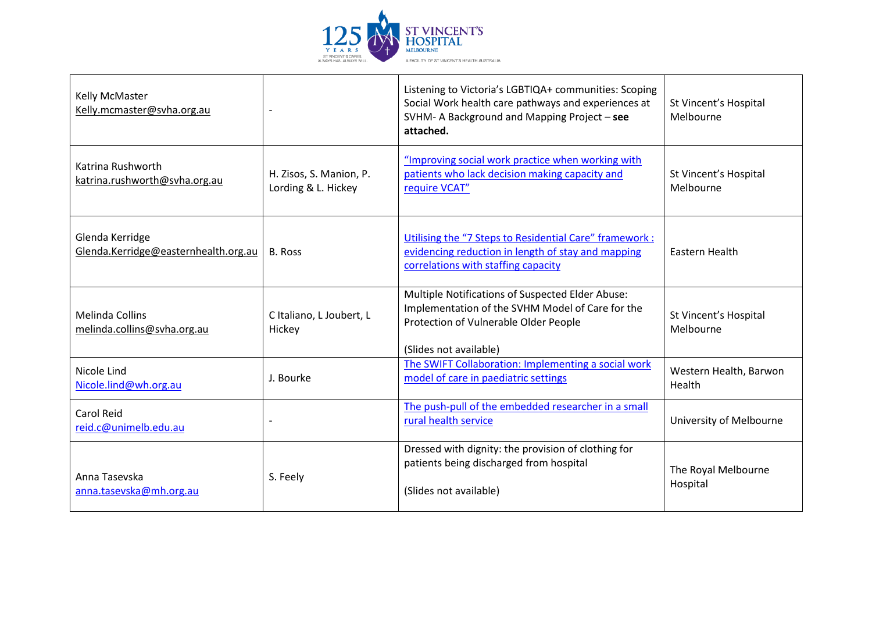

| Kelly McMaster<br>Kelly.mcmaster@svha.org.au            |                                                | Listening to Victoria's LGBTIQA+ communities: Scoping<br>Social Work health care pathways and experiences at<br>SVHM- A Background and Mapping Project - see<br>attached. | St Vincent's Hospital<br>Melbourne |
|---------------------------------------------------------|------------------------------------------------|---------------------------------------------------------------------------------------------------------------------------------------------------------------------------|------------------------------------|
| Katrina Rushworth<br>katrina.rushworth@svha.org.au      | H. Zisos, S. Manion, P.<br>Lording & L. Hickey | "Improving social work practice when working with<br>patients who lack decision making capacity and<br>require VCAT"                                                      | St Vincent's Hospital<br>Melbourne |
| Glenda Kerridge<br>Glenda.Kerridge@easternhealth.org.au | <b>B. Ross</b>                                 | Utilising the "7 Steps to Residential Care" framework :<br>evidencing reduction in length of stay and mapping<br>correlations with staffing capacity                      | Eastern Health                     |
| <b>Melinda Collins</b><br>melinda.collins@svha.org.au   | C Italiano, L Joubert, L<br>Hickey             | Multiple Notifications of Suspected Elder Abuse:<br>Implementation of the SVHM Model of Care for the<br>Protection of Vulnerable Older People<br>(Slides not available)   | St Vincent's Hospital<br>Melbourne |
| Nicole Lind<br>Nicole.lind@wh.org.au                    | J. Bourke                                      | The SWIFT Collaboration: Implementing a social work<br>model of care in paediatric settings                                                                               | Western Health, Barwon<br>Health   |
| Carol Reid<br>reid.c@unimelb.edu.au                     |                                                | The push-pull of the embedded researcher in a small<br>rural health service                                                                                               | University of Melbourne            |
| Anna Tasevska<br>anna.tasevska@mh.org.au                | S. Feely                                       | Dressed with dignity: the provision of clothing for<br>patients being discharged from hospital<br>(Slides not available)                                                  | The Royal Melbourne<br>Hospital    |